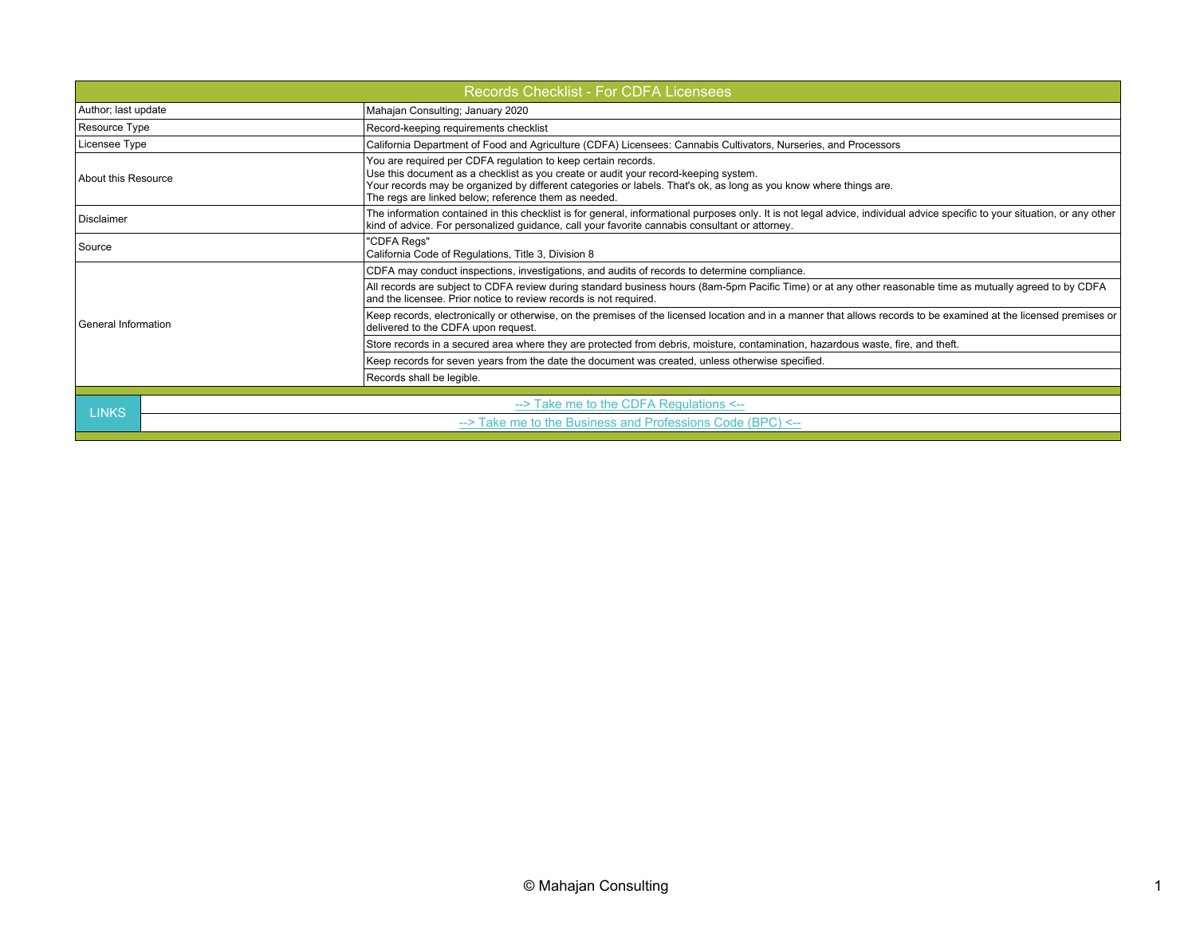| <b>Records Checklist - For CDFA Licensees</b> |                                                            |                                                                                                                                                                                                                                                                                                                                   |  |  |  |  |
|-----------------------------------------------|------------------------------------------------------------|-----------------------------------------------------------------------------------------------------------------------------------------------------------------------------------------------------------------------------------------------------------------------------------------------------------------------------------|--|--|--|--|
| Author; last update                           |                                                            | Mahajan Consulting; January 2020                                                                                                                                                                                                                                                                                                  |  |  |  |  |
| Resource Type                                 |                                                            | Record-keeping requirements checklist                                                                                                                                                                                                                                                                                             |  |  |  |  |
| Licensee Type                                 |                                                            | California Department of Food and Agriculture (CDFA) Licensees: Cannabis Cultivators, Nurseries, and Processors                                                                                                                                                                                                                   |  |  |  |  |
| About this Resource                           |                                                            | You are required per CDFA regulation to keep certain records.<br>Use this document as a checklist as you create or audit your record-keeping system.<br>Your records may be organized by different categories or labels. That's ok, as long as you know where things are.<br>The regs are linked below; reference them as needed. |  |  |  |  |
| Disclaimer                                    |                                                            | The information contained in this checklist is for general, informational purposes only. It is not legal advice, individual advice specific to your situation, or any other<br>kind of advice. For personalized quidance, call your favorite cannabis consultant or attorney.                                                     |  |  |  |  |
| Source                                        |                                                            | "CDFA Regs"<br>California Code of Regulations, Title 3, Division 8                                                                                                                                                                                                                                                                |  |  |  |  |
| General Information                           |                                                            | CDFA may conduct inspections, investigations, and audits of records to determine compliance.                                                                                                                                                                                                                                      |  |  |  |  |
|                                               |                                                            | All records are subject to CDFA review during standard business hours (8am-5pm Pacific Time) or at any other reasonable time as mutually agreed to by CDFA<br>and the licensee. Prior notice to review records is not required.                                                                                                   |  |  |  |  |
|                                               |                                                            | Keep records, electronically or otherwise, on the premises of the licensed location and in a manner that allows records to be examined at the licensed premises or<br>delivered to the CDFA upon request.                                                                                                                         |  |  |  |  |
|                                               |                                                            | Store records in a secured area where they are protected from debris, moisture, contamination, hazardous waste, fire, and theft.                                                                                                                                                                                                  |  |  |  |  |
|                                               |                                                            | Keep records for seven years from the date the document was created, unless otherwise specified.                                                                                                                                                                                                                                  |  |  |  |  |
|                                               |                                                            | Records shall be legible.                                                                                                                                                                                                                                                                                                         |  |  |  |  |
|                                               |                                                            |                                                                                                                                                                                                                                                                                                                                   |  |  |  |  |
| <b>LINKS</b>                                  | $\rightarrow$ Take me to the CDFA Regulations $\leftarrow$ |                                                                                                                                                                                                                                                                                                                                   |  |  |  |  |
|                                               | --> Take me to the Business and Professions Code (BPC) <-- |                                                                                                                                                                                                                                                                                                                                   |  |  |  |  |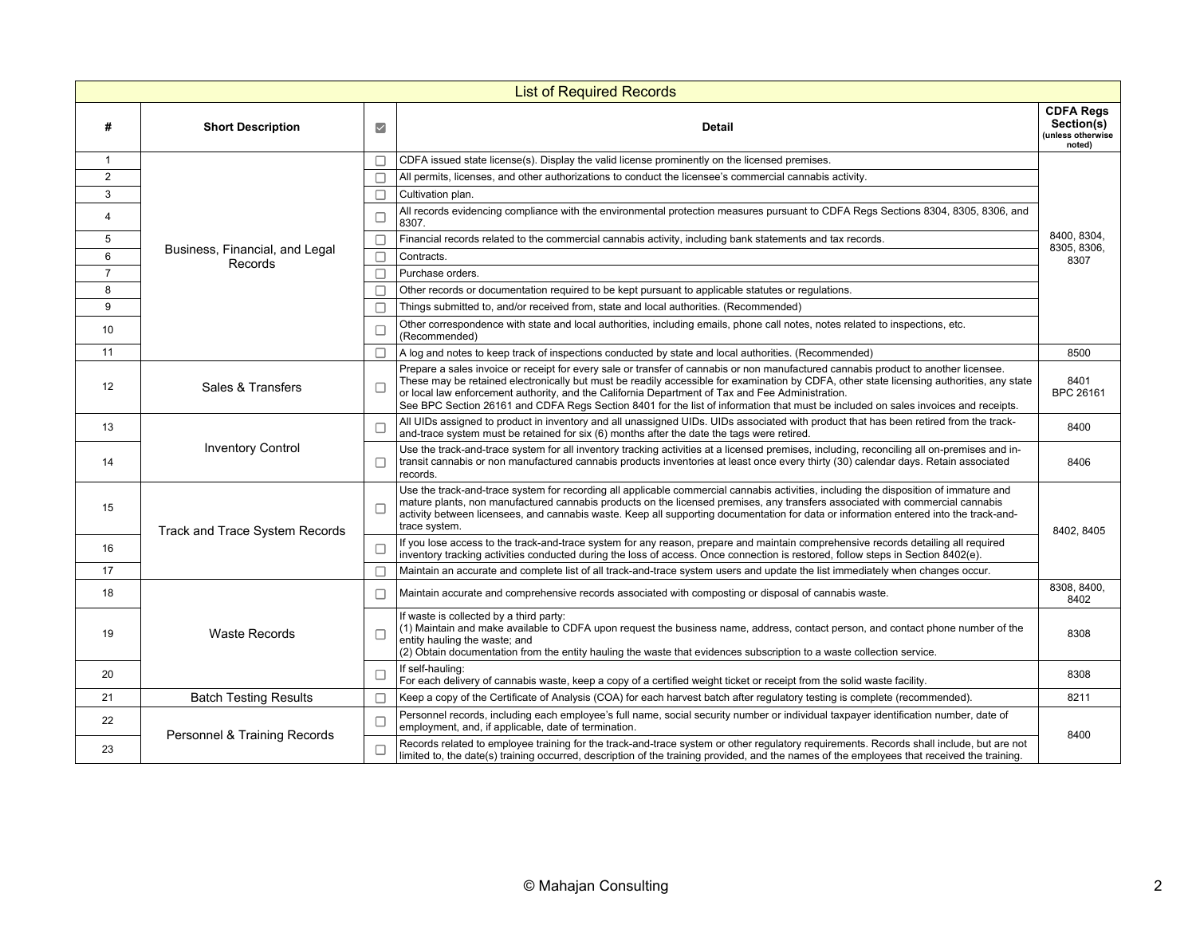| <b>List of Required Records</b> |                                           |                     |                                                                                                                                                                                                                                                                                                                                                                                                                                                                                                                            |                                                                                                                                                                                                                                                                                         |  |  |  |
|---------------------------------|-------------------------------------------|---------------------|----------------------------------------------------------------------------------------------------------------------------------------------------------------------------------------------------------------------------------------------------------------------------------------------------------------------------------------------------------------------------------------------------------------------------------------------------------------------------------------------------------------------------|-----------------------------------------------------------------------------------------------------------------------------------------------------------------------------------------------------------------------------------------------------------------------------------------|--|--|--|
| #                               | <b>Short Description</b>                  | $\overline{\smile}$ | <b>Detail</b>                                                                                                                                                                                                                                                                                                                                                                                                                                                                                                              | <b>CDFA Regs</b><br>Section(s)<br>(unless otherwise<br>noted)                                                                                                                                                                                                                           |  |  |  |
| $\mathbf{1}$                    |                                           |                     | CDFA issued state license(s). Display the valid license prominently on the licensed premises.                                                                                                                                                                                                                                                                                                                                                                                                                              | 8400, 8304,<br>8305, 8306,<br>8307                                                                                                                                                                                                                                                      |  |  |  |
| 2                               |                                           |                     | All permits, licenses, and other authorizations to conduct the licensee's commercial cannabis activity.                                                                                                                                                                                                                                                                                                                                                                                                                    |                                                                                                                                                                                                                                                                                         |  |  |  |
| 3                               | Business, Financial, and Legal<br>Records |                     | Cultivation plan.                                                                                                                                                                                                                                                                                                                                                                                                                                                                                                          |                                                                                                                                                                                                                                                                                         |  |  |  |
| 4                               |                                           | Г                   | All records evidencing compliance with the environmental protection measures pursuant to CDFA Regs Sections 8304, 8305, 8306, and<br>8307.                                                                                                                                                                                                                                                                                                                                                                                 |                                                                                                                                                                                                                                                                                         |  |  |  |
| 5                               |                                           | Г                   | Financial records related to the commercial cannabis activity, including bank statements and tax records.                                                                                                                                                                                                                                                                                                                                                                                                                  |                                                                                                                                                                                                                                                                                         |  |  |  |
| 6                               |                                           |                     | Contracts.                                                                                                                                                                                                                                                                                                                                                                                                                                                                                                                 |                                                                                                                                                                                                                                                                                         |  |  |  |
| $\overline{7}$                  |                                           | П                   | Purchase orders.                                                                                                                                                                                                                                                                                                                                                                                                                                                                                                           |                                                                                                                                                                                                                                                                                         |  |  |  |
| 8                               |                                           |                     | Other records or documentation required to be kept pursuant to applicable statutes or regulations.                                                                                                                                                                                                                                                                                                                                                                                                                         |                                                                                                                                                                                                                                                                                         |  |  |  |
| 9                               |                                           |                     | Things submitted to, and/or received from, state and local authorities. (Recommended)                                                                                                                                                                                                                                                                                                                                                                                                                                      |                                                                                                                                                                                                                                                                                         |  |  |  |
| 10                              |                                           |                     | Other correspondence with state and local authorities, including emails, phone call notes, notes related to inspections, etc.<br>(Recommended)                                                                                                                                                                                                                                                                                                                                                                             |                                                                                                                                                                                                                                                                                         |  |  |  |
| 11                              |                                           |                     | A log and notes to keep track of inspections conducted by state and local authorities. (Recommended)                                                                                                                                                                                                                                                                                                                                                                                                                       | 8500                                                                                                                                                                                                                                                                                    |  |  |  |
| 12                              | Sales & Transfers                         | E                   | Prepare a sales invoice or receipt for every sale or transfer of cannabis or non manufactured cannabis product to another licensee.<br>These may be retained electronically but must be readily accessible for examination by CDFA, other state licensing authorities, any state<br>or local law enforcement authority, and the California Department of Tax and Fee Administration.<br>See BPC Section 26161 and CDFA Regs Section 8401 for the list of information that must be included on sales invoices and receipts. | 8401<br>BPC 26161                                                                                                                                                                                                                                                                       |  |  |  |
| 13                              | <b>Inventory Control</b>                  | Е                   | All UIDs assigned to product in inventory and all unassigned UIDs. UIDs associated with product that has been retired from the track-<br>and-trace system must be retained for six (6) months after the date the tags were retired.                                                                                                                                                                                                                                                                                        | 8400                                                                                                                                                                                                                                                                                    |  |  |  |
| 14                              |                                           | □                   | Use the track-and-trace system for all inventory tracking activities at a licensed premises, including, reconciling all on-premises and in-<br>transit cannabis or non manufactured cannabis products inventories at least once every thirty (30) calendar days. Retain associated<br>records.                                                                                                                                                                                                                             | 8406                                                                                                                                                                                                                                                                                    |  |  |  |
| 15                              | Track and Trace System Records            |                     | Use the track-and-trace system for recording all applicable commercial cannabis activities, including the disposition of immature and<br>mature plants, non manufactured cannabis products on the licensed premises, any transfers associated with commercial cannabis<br>activity between licensees, and cannabis waste. Keep all supporting documentation for data or information entered into the track-and-<br>trace system.                                                                                           | 8402, 8405                                                                                                                                                                                                                                                                              |  |  |  |
| 16                              |                                           |                     | If you lose access to the track-and-trace system for any reason, prepare and maintain comprehensive records detailing all required<br>inventory tracking activities conducted during the loss of access. Once connection is restored, follow steps in Section 8402(e).                                                                                                                                                                                                                                                     |                                                                                                                                                                                                                                                                                         |  |  |  |
| 17                              |                                           |                     | Maintain an accurate and complete list of all track-and-trace system users and update the list immediately when changes occur.                                                                                                                                                                                                                                                                                                                                                                                             |                                                                                                                                                                                                                                                                                         |  |  |  |
| 18                              | <b>Waste Records</b>                      | П                   | Maintain accurate and comprehensive records associated with composting or disposal of cannabis waste.                                                                                                                                                                                                                                                                                                                                                                                                                      | 8308, 8400,<br>8402                                                                                                                                                                                                                                                                     |  |  |  |
| 19                              |                                           | Г                   | If waste is collected by a third party:<br>(1) Maintain and make available to CDFA upon request the business name, address, contact person, and contact phone number of the<br>entity hauling the waste; and<br>(2) Obtain documentation from the entity hauling the waste that evidences subscription to a waste collection service.                                                                                                                                                                                      | 8308                                                                                                                                                                                                                                                                                    |  |  |  |
| 20                              |                                           |                     | If self-hauling:<br>For each delivery of cannabis waste, keep a copy of a certified weight ticket or receipt from the solid waste facility.                                                                                                                                                                                                                                                                                                                                                                                | 8308                                                                                                                                                                                                                                                                                    |  |  |  |
| 21                              | <b>Batch Testing Results</b>              |                     | Keep a copy of the Certificate of Analysis (COA) for each harvest batch after regulatory testing is complete (recommended).                                                                                                                                                                                                                                                                                                                                                                                                | 8211                                                                                                                                                                                                                                                                                    |  |  |  |
| 22                              | Personnel & Training Records              | Е                   | Personnel records, including each employee's full name, social security number or individual taxpayer identification number, date of<br>employment, and, if applicable, date of termination.                                                                                                                                                                                                                                                                                                                               | 8400                                                                                                                                                                                                                                                                                    |  |  |  |
| 23                              |                                           |                     |                                                                                                                                                                                                                                                                                                                                                                                                                                                                                                                            | Records related to employee training for the track-and-trace system or other regulatory requirements. Records shall include, but are not<br>limited to, the date(s) training occurred, description of the training provided, and the names of the employees that received the training. |  |  |  |